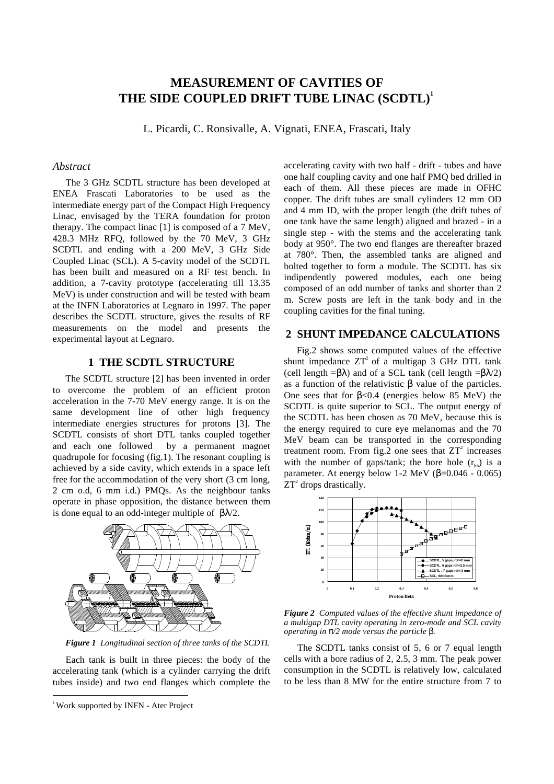# **MEASUREMENT OF CAVITIES OF THE SIDE COUPLED DRIFT TUBE LINAC (SCDTL)<sup>1</sup>**

L. Picardi, C. Ronsivalle, A. Vignati, ENEA, Frascati, Italy

### *Abstract*

The 3 GHz SCDTL structure has been developed at ENEA Frascati Laboratories to be used as the intermediate energy part of the Compact High Frequency Linac, envisaged by the TERA foundation for proton therapy. The compact linac [1] is composed of a 7 MeV, 428.3 MHz RFQ, followed by the 70 MeV, 3 GHz SCDTL and ending with a 200 MeV, 3 GHz Side Coupled Linac (SCL). A 5-cavity model of the SCDTL has been built and measured on a RF test bench. In addition, a 7-cavity prototype (accelerating till 13.35 MeV) is under construction and will be tested with beam at the INFN Laboratories at Legnaro in 1997. The paper describes the SCDTL structure, gives the results of RF measurements on the model and presents the experimental layout at Legnaro.

# **1 THE SCDTL STRUCTURE**

The SCDTL structure [2] has been invented in order to overcome the problem of an efficient proton acceleration in the 7-70 MeV energy range. It is on the same development line of other high frequency intermediate energies structures for protons [3]. The SCDTL consists of short DTL tanks coupled together and each one followed by a permanent magnet quadrupole for focusing (fig.1). The resonant coupling is achieved by a side cavity, which extends in a space left free for the accommodation of the very short (3 cm long, 2 cm o.d, 6 mm i.d.) PMQs. As the neighbour tanks operate in phase opposition, the distance between them is done equal to an odd-integer multiple of  $\beta\lambda/2$ .



*Figure 1 Longitudinal section of three tanks of the SCDTL*

Each tank is built in three pieces: the body of the accelerating tank (which is a cylinder carrying the drift tubes inside) and two end flanges which complete the accelerating cavity with two half - drift - tubes and have one half coupling cavity and one half PMQ bed drilled in each of them. All these pieces are made in OFHC copper. The drift tubes are small cylinders 12 mm OD and 4 mm ID, with the proper length (the drift tubes of one tank have the same length) aligned and brazed - in a single step - with the stems and the accelerating tank body at 950°. The two end flanges are thereafter brazed at 780°. Then, the assembled tanks are aligned and bolted together to form a module. The SCDTL has six indipendently powered modules, each one being composed of an odd number of tanks and shorter than 2 m. Screw posts are left in the tank body and in the coupling cavities for the final tuning.

#### **2 SHUNT IMPEDANCE CALCULATIONS**

Fig.2 shows some computed values of the effective shunt impedance  $ZT^2$  of a multigap 3 GHz DTL tank (cell length  $=\beta\lambda$ ) and of a SCL tank (cell length  $=\beta\lambda/2$ ) as a function of the relativistic β value of the particles. One sees that for β<0.4 (energies below 85 MeV) the SCDTL is quite superior to SCL. The output energy of the SCDTL has been chosen as 70 MeV, because this is the energy required to cure eye melanomas and the 70 MeV beam can be transported in the corresponding treatment room. From fig.2 one sees that  $ZT^2$  increases with the number of gaps/tank; the bore hole  $(r_{\text{th}})$  is a parameter. At energy below 1-2 MeV ( $\beta$ =0.046 - 0.065)  $ZT<sup>2</sup>$  drops drastically.



*Figure 2 Computed values of the effective shunt impedance of a multigap DTL cavity operating in zero-mode and SCL cavity operating in* π*/2 mode versus the particle* β*.*

The SCDTL tanks consist of 5, 6 or 7 equal length cells with a bore radius of 2, 2.5, 3 mm. The peak power consumption in the SCDTL is relatively low, calculated to be less than 8 MW for the entire structure from 7 to

<sup>&</sup>lt;sup>1</sup> Work supported by INFN - Ater Project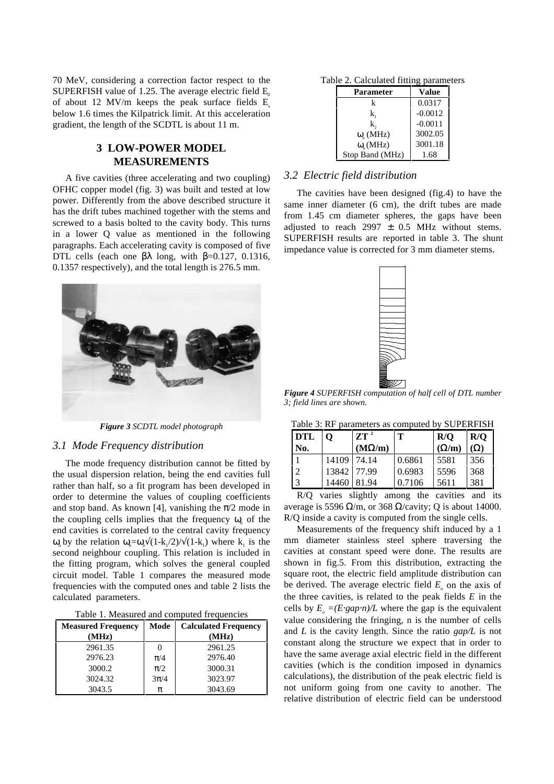70 MeV, considering a correction factor respect to the SUPERFISH value of 1.25. The average electric field  $E<sub>o</sub>$ of about 12 MV/m keeps the peak surface fields  $E_s$ below 1.6 times the Kilpatrick limit. At this acceleration gradient, the length of the SCDTL is about 11 m.

# **3 LOW-POWER MODEL MEASUREMENTS**

A five cavities (three accelerating and two coupling) OFHC copper model (fig. 3) was built and tested at low power. Differently from the above described structure it has the drift tubes machined together with the stems and screwed to a basis bolted to the cavity body. This turns in a lower Q value as mentioned in the following paragraphs. Each accelerating cavity is composed of five DTL cells (each one  $\beta \lambda$  long, with  $\beta = 0.127, 0.1316$ , 0.1357 respectively), and the total length is 276.5 mm.



*Figure 3 SCDTL model photograph*

### *3.1 Mode Frequency distribution*

The mode frequency distribution cannot be fitted by the usual dispersion relation, being the end cavities full rather than half, so a fit program has been developed in order to determine the values of coupling coefficients and stop band. As known [4], vanishing the  $\pi/2$  mode in the coupling cells implies that the frequency  $\omega$  of the end cavities is correlated to the central cavity frequency  $ω_α$  by the relation  $ω_α = ω_α√(1-k_1/2) / √(1-k_1)$  where  $k_1$  is the second neighbour coupling. This relation is included in the fitting program, which solves the general coupled circuit model. Table 1 compares the measured mode frequencies with the computed ones and table 2 lists the calculated parameters.

| Table 1. Measured and computed frequencies |  |  |
|--------------------------------------------|--|--|
|--------------------------------------------|--|--|

| <b>Measured Frequency</b> | Mode              | <b>Calculated Frequency</b> |  |
|---------------------------|-------------------|-----------------------------|--|
| (MHz)                     |                   | (MHz)                       |  |
| 2961.35                   | $\mathbf{\Omega}$ | 2961.25                     |  |
| 2976.23                   | $\pi/4$           | 2976.40                     |  |
| 3000.2                    | $\pi/2$           | 3000.31                     |  |
| 3024.32                   | $3\pi/4$          | 3023.97                     |  |
| 3043.5                    | π                 | 3043.69                     |  |

Table 2. Calculated fitting parameters

| Parameter          | Value     |  |
|--------------------|-----------|--|
| k                  | 0.0317    |  |
| k,                 | $-0.0012$ |  |
| k,                 | $-0.0011$ |  |
| $\omega$ (MHz)     | 3002.05   |  |
| $\omega_{h}$ (MHz) | 3001.18   |  |
| Stop Band (MHz)    | 1.68      |  |

# *3.2 Electric field distribution*

The cavities have been designed (fig.4) to have the same inner diameter (6 cm), the drift tubes are made from 1.45 cm diameter spheres, the gaps have been adjusted to reach 2997  $\pm$  0.5 MHz without stems. SUPERFISH results are reported in table 3. The shunt impedance value is corrected for 3 mm diameter stems.



*Figure 4 SUPERFISH computation of half cell of DTL number 3; field lines are shown.*

| <b>DTL</b><br>No. | O           | $ZT^2$<br>$(M\Omega/m)$ | т      | R/O<br>$(\Omega/m)$ | R/O<br>$(\Omega)$ |
|-------------------|-------------|-------------------------|--------|---------------------|-------------------|
|                   | 14109       | 74.14                   | 0.6861 | 5581                | 356               |
| 2                 | 13842 77.99 |                         | 0.6983 | 5596                | 368               |
| <sup>3</sup>      | 14460       | 81.94                   | 0.7106 | 5611                | 381               |

R/Q varies slightly among the cavities and its average is 5596  $\Omega/m$ , or 368  $\Omega$ /cavity; O is about 14000. R/Q inside a cavity is computed from the single cells.

Measurements of the frequency shift induced by a 1 mm diameter stainless steel sphere traversing the cavities at constant speed were done. The results are shown in fig.5. From this distribution, extracting the square root, the electric field amplitude distribution can be derived. The average electric field  $E<sub>a</sub>$  on the axis of the three cavities, is related to the peak fields *E* in the cells by  $E_0 = (E \cdot gap \cdot n)/L$  where the gap is the equivalent value considering the fringing, n is the number of cells and *L* is the cavity length. Since the ratio *gap/L* is not constant along the structure we expect that in order to have the same average axial electric field in the different cavities (which is the condition imposed in dynamics calculations), the distribution of the peak electric field is not uniform going from one cavity to another. The relative distribution of electric field can be understood